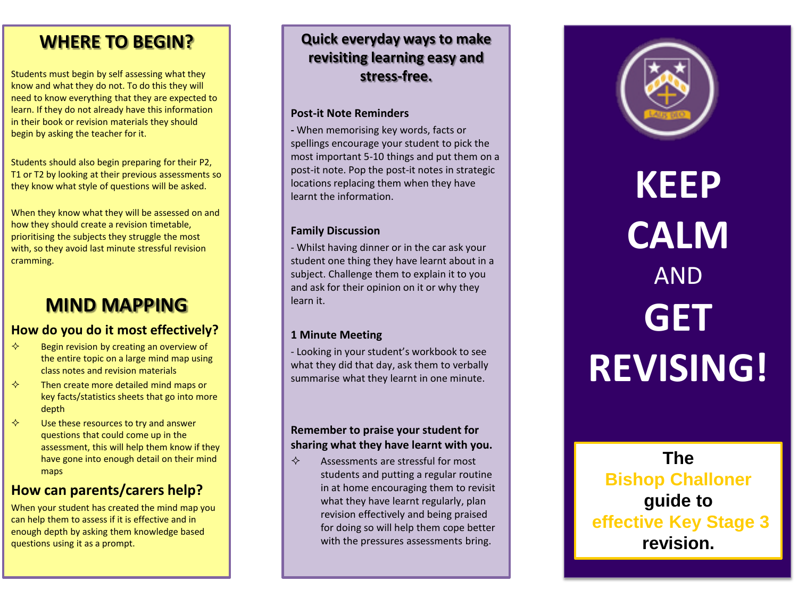## **WHERE TO BEGIN?**

Students must begin by self assessing what they know and what they do not. To do this they will need to know everything that they are expected to learn. If they do not already have this information in their book or revision materials they should begin by asking the teacher for it.

Students should also begin preparing for their P2, T1 or T2 by looking at their previous assessments so they know what style of questions will be asked.

When they know what they will be assessed on and how they should create a revision timetable, prioritising the subjects they struggle the most with, so they avoid last minute stressful revision cramming.

# **MIND MAPPING**

### **How do you do it most effectively?**

- $\diamond$  Begin revision by creating an overview of the entire topic on a large mind map using class notes and revision materials
- $\diamond$  Then create more detailed mind maps or key facts/statistics sheets that go into more depth
- $\diamond$  Use these resources to try and answer questions that could come up in the assessment, this will help them know if they have gone into enough detail on their mind maps

### **How can parents/carers help?**

When your student has created the mind map you can help them to assess if it is effective and in enough depth by asking them knowledge based questions using it as a prompt.

## **Quick everyday ways to make revisiting learning easy and stress -free.**

#### **Post -it Note Reminders**

**-** When memorising key words, facts or spellings encourage your student to pick the most important 5 -10 things and put them on a post -it note. Pop the post -it notes in strategic locations replacing them when they have learnt the information.

#### **Family Discussion**

- Whilst having dinner or in the car ask your student one thing they have learnt about in a subject. Challenge them to explain it to you and ask for their opinion on it or why they learn it.

#### **1 Minute Meeting**

- Looking in your student's workbook to see what they did that day, ask them to verbally summarise what they learnt in one minute.

#### **Remember to praise your student for sharing what they have learnt with you.**

 $\Leftrightarrow$  Assessments are stressful for most students and putting a regular routine in at home encouraging them to revisit what they have learnt regularly, plan revision effectively and being praised for doing so will help them cope better with the pressures assessments bring.



**KEEP CALM**  AND **GET REVISING!**

**The Bishop Challoner guide to effective Key Stage 3 revision.**